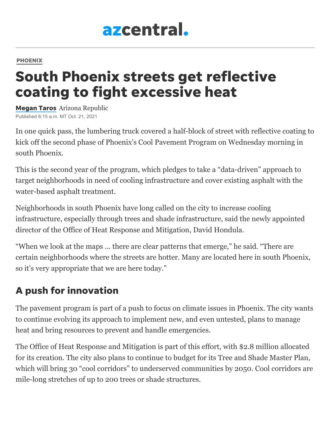# azcentral.

#### [PHOENIX](https://www.azcentral.com/local/phoenix/)

## South Phoenix streets get reflective coating to fight excessive heat

[Megan](https://www.azcentral.com/staff/5432278002/megan-taros/) Taros Arizona Republic Published 6:15 a.m. MT Oct. 21, 2021

In one quick pass, the lumbering truck covered a half-block of street with reflective coating to kick off the second phase of Phoenix's Cool Pavement Program on Wednesday morning in south Phoenix.

This is the second year of the program, which pledges to take a "data-driven" approach to target neighborhoods in need of cooling infrastructure and cover existing asphalt with the water-based asphalt treatment.

Neighborhoods in south Phoenix have long called on the city to increase cooling infrastructure, especially through trees and shade infrastructure, said the newly appointed director of the Office of Heat Response and Mitigation, David Hondula.

"When we look at the maps ... there are clear patterns that emerge," he said. "There are certain neighborhoods where the streets are hotter. Many are located here in south Phoenix, so it's very appropriate that we are here today."

### A push for innovation

The pavement program is part of a push to focus on climate issues in Phoenix. The city wants to continue evolving its approach to implement new, and even untested, plans to manage heat and bring resources to prevent and handle emergencies.

The Office of Heat Response and Mitigation is part of this effort, with \$2.8 million allocated for its creation. The city also plans to continue to budget for its Tree and Shade Master Plan, which will bring 30 "cool corridors" to underserved communities by 2050. Cool corridors are mile-long stretches of up to 200 trees or shade structures.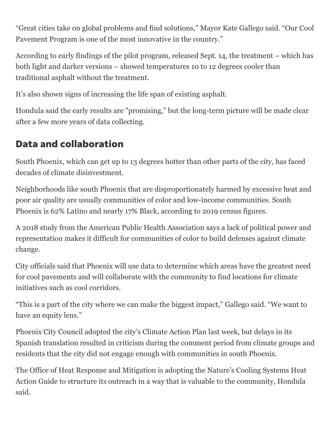"Great cities take on global problems and find solutions," Mayor Kate Gallego said. "Our Cool Pavement Program is one of the most innovative in the country."

According to early findings of the pilot program, released Sept. 14, the treatment – which has both light and darker versions – showed temperatures 10 to 12 degrees cooler than traditional asphalt without the treatment.

It's also shown signs of increasing the life span of existing asphalt.

Hondula said the early results are "promising," but the long-term picture will be made clear after a few more years of data collecting.

#### Data and collaboration

South Phoenix, which can get up to 13 degrees hotter than other parts of the city, has faced decades of climate disinvestment.

Neighborhoods like south Phoenix that are disproportionately harmed by excessive heat and poor air quality are usually communities of color and low-income communities. South Phoenix is 62% Latino and nearly 17% Black, according to 2019 census figures.

A 2018 study from the American Public Health Association says a lack of political power and representation makes it difficult for communities of color to build defenses against climate change.

City officials said that Phoenix will use data to determine which areas have the greatest need for cool pavements and will collaborate with the community to find locations for climate initiatives such as cool corridors.

"This is a part of the city where we can make the biggest impact," Gallego said. "We want to have an equity lens."

Phoenix City Council adopted the city's Climate Action Plan last week, but delays in its Spanish translation resulted in criticism during the comment period from climate groups and residents that the city did not engage enough with communities in south Phoenix.

The Office of Heat Response and Mitigation is adopting the Nature's Cooling Systems Heat Action Guide to structure its outreach in a way that is valuable to the community, Hondula said.